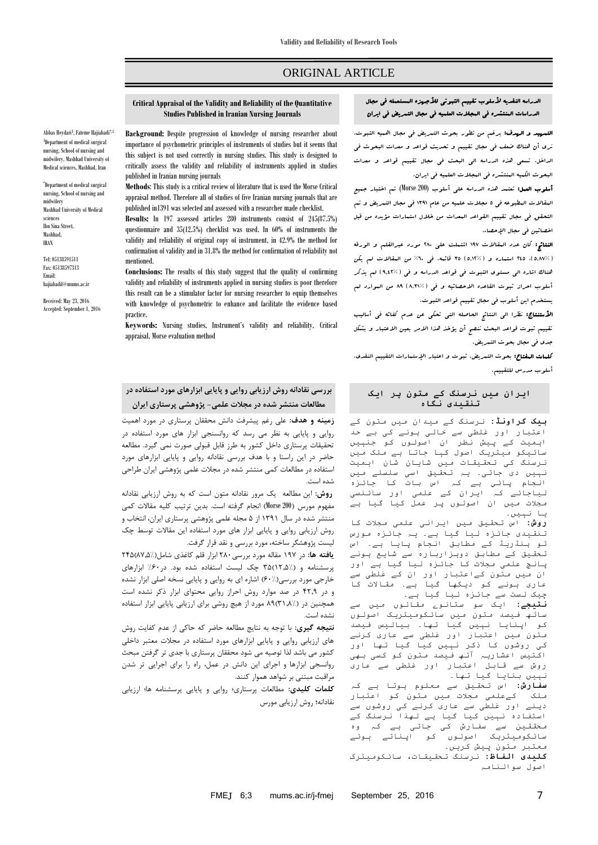# ORIGINAL ARTICLE

## **Critical Appraisal of the Validity and Reliability of the Quantitative Studies Published in Iranian Nursing Journals**

Abbas Heydari<sup>1</sup>, Fateme Hajiabadi<sup>\*,1</sup> 1 Department of medical surgical nursing, School of nursing and midwifery, Mashhad University of Medical sciences, Mashhad, Iran

\* Department of medical surgical nursing, School of nursing and midwifery Mashhad University of Medical sciences Ibn Sina Street, Mashhad, IRAN

Tel: 05138591511 Fax: 05138597313 Email: hajiabadif@mums.ac.ir

Received: May 23, 2016 Accepted: September 1, 2016 **Background:** Despite progression of knowledge of nursing researcher about importance of psychometric principles of instruments of studies but it seems that this subject is not used correctly in nursing studies. This study is designed to critically assess the validity and reliability of instruments applied in studies published in Iranian nursing journals

**Methods**: This study is a critical review of literature that is used the Morse Critical appraisal method. Therefore all of studies of five Iranian nursing journals that are published in1391 was selected and assessed with a researcher made checklist.

**Results:** In 197 assessed articles 280 instruments consist of 245(87.5%) questionnaire and 35(12.5%) checklist was used. In 60% of instruments the validity and reliability of original copy of instrument, in 42.9% the method for confirmation of validity and in 31.8% the method for confirmation of reliability not mentioned.

**Conclusions:** The results of this study suggest that the quality of confirming validity and reliability of instruments applied in nursing studies is poor therefore this result can be a stimulator factor for nursing researcher to equip themselves with knowledge of psychometric to enhance and facilitate the evidence based practice.

**Keywords:** Nursing studies, Instrument's validity and reliability, Critical appraisal, Morse evaluation method

# **بررسي نقادانه روش ارزیابي روایي و پایایي ابزارهای مورد استفاده در مطالعات منتشر شده در مجالت علمي- پژوهشي پرستاری ایران**

**زمينه و هدف:** علي رغم پيشرفت دانش محققان پرستاري در مورد اهميت روايي و پايايي به نظر مي رسد که روانسنجي ابزار هاي مورد استفاده در تحقيقات پرستاري داخل کشور به طرز قابل قبولي صورت نمي گيرد. مطالعه حاضر در اين راستا و با هدف بررسي نقادانه روايي و پايايي ابزارهاي مورد استفاده در مطالعات کمي منتشر شده در مجالت علمي پژوهشي ايران طراحي شده است.

**روش:** اين مطالعه يک مرور نقادانه متون است که به روش ارزيابي نقادانه مفهوم مورس )200 Morse )انجام گرفته است. بدين ترتيب کليه مقاالت کمي منتشر شده در سال 1931 از 5 مجله علمي پژوهشي پرستاري ايران، انتخاب و روش ارزيابي روايي و پايايي ابزار هاي مورد استفاده اين مقاالت توسط چک ليست پژوهشگر ساخته، مورد بررسي و نقد قرار گرفت.

**یافته ها:** در ۱۹۷ مقاله مورد بررسی ۲۸۰ ابزار قلم کاغذی شامل(٪۱/۵/۸۷)۴۵ پرسشنامه و (17,۵/۱۲\$ چک ليست استفاده شده بود. در ۶۰٪ ابزارهاي خارجي مورد بررسي)02%( اشاره اي به روايي و پايايي نسخه اصلي ابزار نشده و در 4073 در صد موارد روش احراز روايي محتواي ابزار ذکر نشده است همچنين در (1,\4,\8) M مورد از هيچ روشي براي ارزيابي پايايي ابزار استفاده نشده است.

**نتيجه گيری:** با توجه به نتايج مطالعه حاضر که حاکي از عدم کفايت روش هاي ارزيابي روايي و پايايي ابزارهاي مورد استفاده در مجالت معتبر داخلي کشور مي باشد لذا توصيه مي شود محققان پرستاري با جدي تر گرفتن مبحث روانسجي ابزارها و اجراي اين دانش در عمل، راه را براي اجرايي تر شدن مراقبت مبتني بر شواهد هموار کنند.

**کلمات کليدی:** مطالعات پرستاري؛ روايي و پايايي پرسشنامه ها؛ ارزيابي نقادانه**؛** روش ارزيابي مورس

## الدراسه النقدیه ألسلوب تقییم الثبوتي لألجهزه المستعمله في مجال الدراسات المنتشره في المجالت العلمیه في مجال التمریض في ایران

التمهید و الهدف: برغم من تطور بحوث التمریض في مجال اهمیه الثبوت، نری أن هناک ضعف في مجال تقییم و تحدیث قواعد و معدات البحوث في الداخل. تسعي هذه الدراسه الي البحث في مجال تقییم قواعد و معدات البحوث الکمیه المنتشره في المجالت العلمیه في ایران.

أسلوب العمل: تعتمد هذه الدراسه علي أسلوب (200 Morse (تم اختبار جمیع المقاالت المطبوعه في 5 مجالت علمیه من عام 1931 في مجال التمریض و تم التحقق في مجال تقییم القواعد المعدات من خالل استمارات مؤیده من قبل اخصائین في مجال الإحصاء.

النتائج: کان عدد المقاالت 131 اشتملت علي 082 مورد عبرالقلم و الورقه )5881%(، 045 استماره و )5810%( 95 قائمه. في %02 من المقاالت لم یکن هناک اشاره الي مستوی الثبوت في قواعد الدراسه و في )3840%( لم یذکر أسلوب احراز ثبوت القاعده الاحصائیه و في (١,٣١%) ٨٩ من الموارد لم یستخدم این أسلوب في مجال تقییم قواعد الثبوت.

األستنتاج: نظرا الي النتائج الحاصله التي تحکي عن عدم کفائه في أسالیب تقییم ثبوت قواعد البحث ننصح أن یؤخذ هذا االمر بعین االعتبار و بشکل جدی في مجال بحوث التمریض.

کلمات المفتاح: بحوث التمریض، ثبوت و اعتبار اإلستمارات التقییم النقدی، أسلوب مدرس للتقییم.

**ایران میں نرسنگ کے متون پر ایک تنقیدی نگاہ**

**بیک گراونڈ:** نرسنگ کے میدان میں متون کے اعتبار اور غلطی سے خالی ہونے کی بے حد اہمیت کے پیش نطر ان اصولوں کو جنہیں سائیکو میٹریک اصول کہا جاتا ہے ملک میں نرسنگ کی تحقیقات میں شایان شان اہمیت .<br>نہیں دی جاتی۔ یہ تحقیق اسی سلسلے میں انجام پائي ہے کہ اس بات کا جائزہ لیاجائے کہ ایران کے علمی اور سائنسی مجالت میں ان اصولوں پر عمل کیا گیا ہے یا نہیں۔

**روش:** اس تحقیق میں ایرانی علمی مجالت کا تنقیدی جائزہ لیا گیا ہے۔ یہ جائزہ مورس ٹو ہنڈریڈ کے مطابق انجام پایا ہے۔ اس تحقیق کے مطابق دوہزاربارہ سے شایع ہونے پانچ علمی مجالت کا جائزہ لیا گیا ہے اور ان میں متون کےاعتبار اور ان کے غلطی سے عاری ہونے کو دیکھا گیا ہے۔ مقاالت کا چیک لسٹ سے جائزہ لیا گیا ہے۔

**نتیجے:** ایک سو ستانوے مقالوں میں سے ساٹھ فیصد متون میں سائکومیٹریک اصولوں کو اپنایا نہیں گیا تھا۔ بیالیس فیصد متون میں اعتبار اور غلطی سے عاری کرنے کی روشوں کا ذکر نہیں کیا گیا تھا اور اکتیس اعشاریہ آٹھ فیصد متون کو کسی بھی روش سے قابل اعتبار اور غلطی سے عاری ۔<br>بیں بنایا گیا تھا۔

**سفارش:** اس تحقیق سے معلوم ہوتا ہے کہ ملک کےعلمی مجالت میں متون کو اعتبار دینے اور غلطی سے عاری کرنے کی روشوں سے استفادہ نہیں کیا گیا ہے لھذا نرسنگ کے محققین سے سفارش کی جاتی ہے کہ وہ سائکومیٹریک اصولوں کو اپناتے ہوئے معتبر متون پیش کریں۔

**کلیدی الفاظ:** نرسنگ تحقیقات، سائکومیٹرک اصول سوالنامہ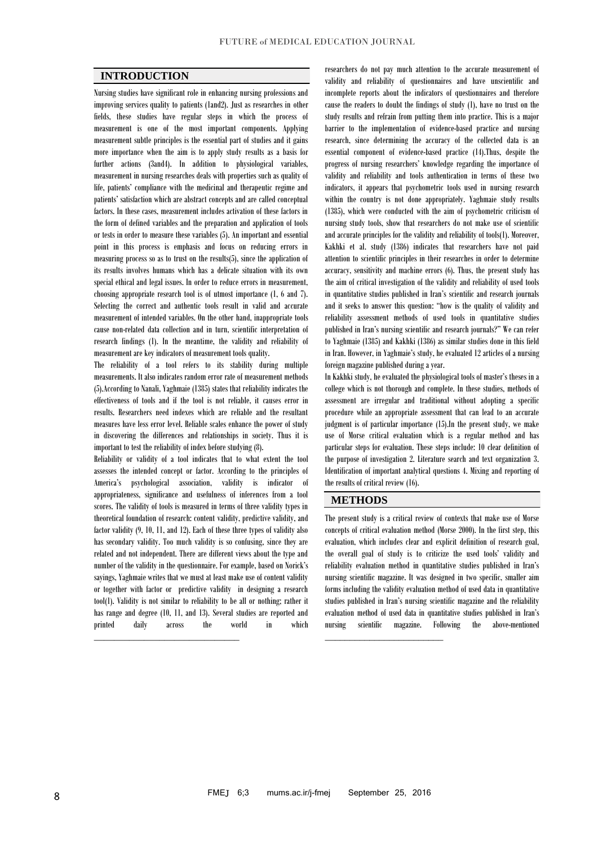## **INTRODUCTION**

Nursing studies have significant role in enhancing nursing professions and improving services quality to patients (1and2). Just as researches in other fields, these studies have regular steps in which the process of measurement is one of the most important components. Applying measurement subtle principles is the essential part of studies and it gains more importance when the aim is to apply study results as a basis for further actions (3and4). In addition to physiological variables, measurement in nursing researches deals with properties such as quality of life, patients' compliance with the medicinal and therapeutic regime and patients' satisfaction which are abstract concepts and are called conceptual factors. In these cases, measurement includes activation of these factors in the form of defined variables and the preparation and application of tools or tests in order to measure these variables (5). An important and essential point in this process is emphasis and focus on reducing errors in measuring process so as to trust on the results(5), since the application of its results involves humans which has a delicate situation with its own special ethical and legal issues. In order to reduce errors in measurement, choosing appropriate research tool is of utmost importance (1, 6 and 7). Selecting the correct and authentic tools result in valid and accurate measurement of intended variables. On the other hand, inappropriate tools cause non-related data collection and in turn, scientific interpretation of research findings (1). In the meantime, the validity and reliability of measurement are key indicators of measurement tools quality.

The reliability of a tool refers to its stability during multiple measurements. It also indicates random error rate of measurement methods (5).According to Nanali, Yaghmaie (1385) states that reliability indicates the effectiveness of tools and if the tool is not reliable, it causes error in results. Researchers need indexes which are reliable and the resultant measures have less error level. Reliable scales enhance the power of study in discovering the differences and relationships in society. Thus it is important to test the reliability of index before studying (8).

Reliability or validity of a tool indicates that to what extent the tool assesses the intended concept or factor. According to the principles of America's psychological association, validity is indicator of appropriateness, significance and usefulness of inferences from a tool scores. The validity of tools is measured in terms of three validity types in theoretical foundation of research: content validity, predictive validity, and factor validity (9, 10, 11, and 12). Each of these three types of validity also has secondary validity. Too much validity is so confusing, since they are related and not independent. There are different views about the type and number of the validity in the questionnaire. For example, based on Norick's sayings, Yaghmaie writes that we must at least make use of content validity or together with factor or predictive validity in designing a research tool(1). Validity is not similar to reliability to be all or nothing; rather it has range and degree (10, 11, and 13). Several studies are reported and printed daily across the world in which

\_\_\_\_\_\_\_\_\_\_\_\_\_\_\_\_\_\_\_\_\_\_\_\_\_\_\_\_\_

researchers do not pay much attention to the accurate measurement of validity and reliability of questionnaires and have unscientific and incomplete reports about the indicators of questionnaires and therefore cause the readers to doubt the findings of study (1), have no trust on the study results and refrain from putting them into practice. This is a major barrier to the implementation of evidence-based practice and nursing research, since determining the accuracy of the collected data is an essential component of evidence-based practice (14).Thus, despite the progress of nursing researchers' knowledge regarding the importance of validity and reliability and tools authentication in terms of these two indicators, it appears that psychometric tools used in nursing research within the country is not done appropriately. Yaghmaie study results (1385), which were conducted with the aim of psychometric criticism of nursing study tools, show that researchers do not make use of scientific and accurate principles for the validity and reliability of tools(1). Moreover, Kakhki et al. study (1386) indicates that researchers have not paid attention to scientific principles in their researches in order to determine accuracy, sensitivity and machine errors (6). Thus, the present study has the aim of critical investigation of the validity and reliability of used tools in quantitative studies published in Iran's scientific and research journals and it seeks to answer this question: "how is the quality of validity and reliability assessment methods of used tools in quantitative studies published in Iran's nursing scientific and research journals?" We can refer to Yaghmaie (1385) and Kakhki (1386) as similar studies done in this field in Iran. However, in Yaghmaie's study, he evaluated 12 articles of a nursing foreign magazine published during a year.

In Kakhki study, he evaluated the physiological tools of master's theses in a college which is not thorough and complete. In these studies, methods of assessment are irregular and traditional without adopting a specific procedure while an appropriate assessment that can lead to an accurate judgment is of particular importance (15).In the present study, we make use of Morse critical evaluation which is a regular method and has particular steps for evaluation. These steps include: 10 clear definition of the purpose of investigation 2. Literature search and text organization 3. Identification of important analytical questions 4. Mixing and reporting of the results of critical review (16).

## **METHODS**

\_\_\_\_\_\_\_\_\_\_\_\_\_\_\_\_\_\_\_\_\_\_\_\_

The present study is a critical review of contexts that make use of Morse concepts of critical evaluation method (Morse 2000). In the first step, this evaluation, which includes clear and explicit definition of research goal, the overall goal of study is to criticize the used tools' validity and reliability evaluation method in quantitative studies published in Iran's nursing scientific magazine. It was designed in two specific, smaller aim forms including the validity evaluation method of used data in quantitative studies published in Iran's nursing scientific magazine and the reliability evaluation method of used data in quantitative studies published in Iran's nursing scientific magazine. Following the above-mentioned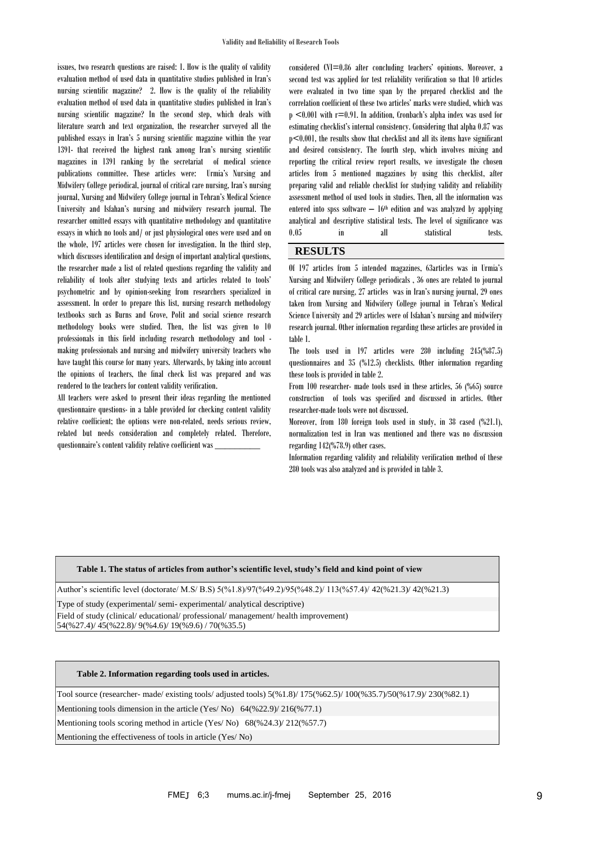issues, two research questions are raised: 1. How is the quality of validity evaluation method of used data in quantitative studies published in Iran's nursing scientific magazine? 2. How is the quality of the reliability evaluation method of used data in quantitative studies published in Iran's nursing scientific magazine? In the second step, which deals with literature search and text organization, the researcher surveyed all the published essays in Iran's 5 nursing scientific magazine within the year 1391- that received the highest rank among Iran's nursing scientific magazines in 1391 ranking by the secretariat of medical science publications committee. These articles were: Urmia's Nursing and Midwifery College periodical, journal of critical care nursing, Iran's nursing journal, Nursing and Midwifery College journal in Tehran's Medical Science University and Isfahan's nursing and midwifery research journal. The researcher omitted essays with quantitative methodology and quantitative essays in which no tools and/ or just physiological ones were used and on the whole, 197 articles were chosen for investigation. In the third step, which discusses identification and design of important analytical questions, the researcher made a list of related questions regarding the validity and reliability of tools after studying texts and articles related to tools' psychometric and by opinion-seeking from researchers specialized in assessment. In order to prepare this list, nursing research methodology textbooks such as Burns and Grove, Polit and social science research methodology books were studied. Then, the list was given to 10 professionals in this field including research methodology and tool making professionals and nursing and midwifery university teachers who have taught this course for many years. Afterwards, by taking into account the opinions of teachers, the final check list was prepared and was rendered to the teachers for content validity verification.

All teachers were asked to present their ideas regarding the mentioned questionnaire questions- in a table provided for checking content validity relative coefficient; the options were non-related, needs serious review, related but needs consideration and completely related. Therefore, questionnaire's content validity relative coefficient was \_\_\_\_\_\_\_\_\_

considered CVI=0.86 after concluding teachers' opinions. Moreover, a second test was applied for test reliability verification so that 10 articles were evaluated in two time span by the prepared checklist and the correlation coefficient of these two articles' marks were studied, which was  $p$  <0.001 with  $r=0.91$ . In addition, Cronbach's alpha index was used for estimating checklist's internal consistency. Considering that alpha 0.87 was p<0.001, the results show that checklist and all its items have significant and desired consistency. The fourth step, which involves mixing and reporting the critical review report results, we investigate the chosen articles from 5 mentioned magazines by using this checklist, after preparing valid and reliable checklist for studying validity and reliability assessment method of used tools in studies. Then, all the information was entered into spss software  $-16<sup>th</sup>$  edition and was analyzed by applying analytical and descriptive statistical tests. The level of significance was 0.05 in all statistical tests.

# **RESULTS**

Of 197 articles from 5 intended magazines, 63articles was in Urmia's Nursing and Midwifery College periodicals , 36 ones are related to journal of critical care nursing, 27 articles was in Iran's nursing journal, 29 ones taken from Nursing and Midwifery College journal in Tehran's Medical Science University and 29 articles were of Isfahan's nursing and midwifery research journal. Other information regarding these articles are provided in table 1.

The tools used in 197 articles were 280 including 245(%87.5) questionnaires and 35 (%12.5) checklists. Other information regarding these tools is provided in table 2.

From 100 researcher- made tools used in these articles, 56 (%65) source construction of tools was specified and discussed in articles. Other researcher-made tools were not discussed.

Moreover, from 180 foreign tools used in study, in 38 cased (%21.1), normalization test in Iran was mentioned and there was no discussion regarding 142(%78.9) other cases.

Information regarding validity and reliability verification method of these 280 tools was also analyzed and is provided in table 3.

#### **Table 1. The status of articles from author's scientific level, study's field and kind point of view**

Author's scientific level (doctorate/ M.S/ B.S) 5(%1.8)/97(%49.2)/95(%48.2)/ 113(%57.4)/ 42(%21.3)/ 42(%21.3)

Type of study (experimental/ semi- experimental/ analytical descriptive)

Field of study (clinical/ educational/ professional/ management/ health improvement) 54(%27.4)/ 45(%22.8)/ 9(%4.6)/ 19(%9.6) / 70(%35.5)

## **Table 2. Information regarding tools used in articles.**

Tool source (researcher- made/ existing tools/ adjusted tools) 5(%1.8)/ 175(%62.5)/ 100(%35.7)/50(%17.9)/ 230(%82.1)

Mentioning tools dimension in the article (Yes/ No) 64(%22.9)/216(%77.1)

Mentioning tools scoring method in article (Yes/ No) 68(%24.3)/ 212(%57.7)

Mentioning the effectiveness of tools in article (Yes/ No)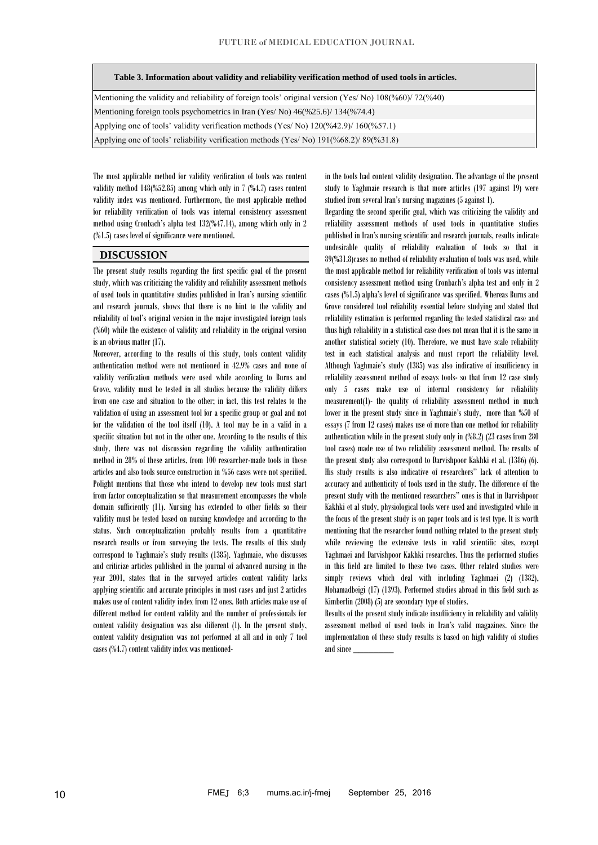### **Table 3. Information about validity and reliability verification method of used tools in articles.**

Mentioning the validity and reliability of foreign tools' original version (Yes/ No) 108(%60)/72(%40) Mentioning foreign tools psychometrics in Iran (Yes/ No) 46(%25.6)/ 134(%74.4) Applying one of tools' validity verification methods (Yes/ No) 120(%42.9)/ 160(%57.1) Applying one of tools' reliability verification methods (Yes/ No) 191(%68.2)/ 89(%31.8)

The most applicable method for validity verification of tools was content validity method 148(%52.85) among which only in 7 (%4.7) cases content validity index was mentioned. Furthermore, the most applicable method for reliability verification of tools was internal consistency assessment method using Cronbach's alpha test 132(%47.14), among which only in 2 (%1.5) cases level of significance were mentioned.

### **DISCUSSION**

The present study results regarding the first specific goal of the present study, which was criticizing the validity and reliability assessment methods of used tools in quantitative studies published in Iran's nursing scientific and research journals, shows that there is no hint to the validity and reliability of tool's original version in the major investigated foreign tools (%60) while the existence of validity and reliability in the original version is an obvious matter (17).

Moreover, according to the results of this study, tools content validity authentication method were not mentioned in 42.9% cases and none of validity verification methods were used while according to Burns and Grove, validity must be tested in all studies because the validity differs from one case and situation to the other; in fact, this test relates to the validation of using an assessment tool for a specific group or goal and not for the validation of the tool itself (10). A tool may be in a valid in a specific situation but not in the other one. According to the results of this study, there was not discussion regarding the validity authentication method in 28% of these articles, from 100 researcher-made tools in these articles and also tools source construction in %56 cases were not specified. Polight mentions that those who intend to develop new tools must start from factor conceptualization so that measurement encompasses the whole domain sufficiently (11). Nursing has extended to other fields so their validity must be tested based on nursing knowledge and according to the status. Such conceptualization probably results from a quantitative research results or from surveying the texts. The results of this study correspond to Yaghmaie's study results (1385). Yaghmaie, who discusses and criticize articles published in the journal of advanced nursing in the year 2001, states that in the surveyed articles content validity lacks applying scientific and accurate principles in most cases and just 2 articles makes use of content validity index from 12 ones. Both articles make use of different method for content validity and the number of professionals for content validity designation was also different (1). In the present study, content validity designation was not performed at all and in only 7 tool cases (%4.7) content validity index was mentionedin the tools had content validity designation. The advantage of the present study to Yaghmaie research is that more articles (197 against 19) were studied from several Iran's nursing magazines (5 against 1).

Regarding the second specific goal, which was criticizing the validity and reliability assessment methods of used tools in quantitative studies published in Iran's nursing scientific and research journals, results indicate undesirable quality of reliability evaluation of tools so that in 89(%31.8)cases no method of reliability evaluation of tools was used, while the most applicable method for reliability verification of tools was internal consistency assessment method using Cronbach's alpha test and only in 2 cases (%1.5) alpha's level of significance was specified. Whereas Burns and Grove considered tool reliability essential before studying and stated that reliability estimation is performed regarding the tested statistical case and thus high reliability in a statistical case does not mean that it is the same in another statistical society (10). Therefore, we must have scale reliability test in each statistical analysis and must report the reliability level. Although Yaghmaie's study (1385) was also indicative of insufficiency in reliability assessment method of essays tools- so that from 12 case study only 5 cases make use of internal consistency for reliability measurement(1)- the quality of reliability assessment method in much lower in the present study since in Yaghmaie's study, more than %50 of essays (7 from 12 cases) makes use of more than one method for reliability authentication while in the present study only in (%8.2) (23 cases from 280 tool cases) made use of two reliability assessment method. The results of the present study also correspond to Darvishpoor Kakhki et al. (1386) (6). His study results is also indicative of researchers'' lack of attention to accuracy and authenticity of tools used in the study. The difference of the present study with the mentioned researchers'' ones is that in Darvishpoor Kakhki et al study, physiological tools were used and investigated while in the focus of the present study is on paper tools and is test type. It is worth mentioning that the researcher found nothing related to the present study while reviewing the extensive texts in valid scientific sites, except Yaghmaei and Darvishpoor Kakhki researches. Thus the performed studies in this field are limited to these two cases. Other related studies were simply reviews which deal with including Yaghmaei (2) (1382), Mohamadbeigi (17) (1393). Performed studies abroad in this field such as Kimberlin (2008) (5) are secondary type of studies.

Results of the present study indicate insufficiency in reliability and validity assessment method of used tools in Iran's valid magazines. Since the implementation of these study results is based on high validity of studies and since \_\_\_\_\_\_\_\_